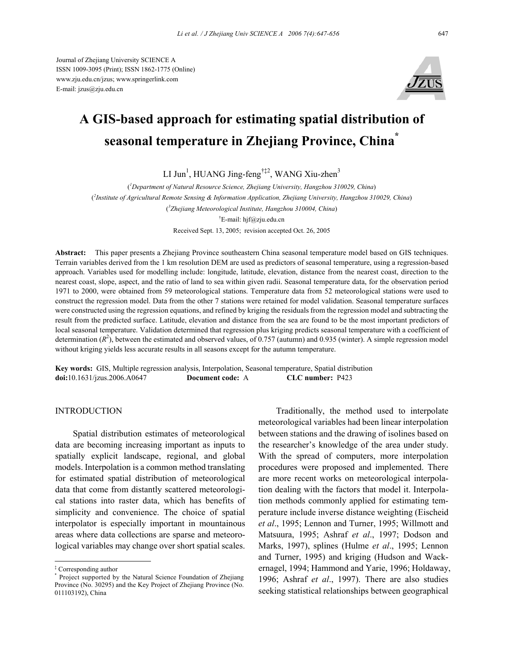Journal of Zhejiang University SCIENCE A ISSN 1009-3095 (Print); ISSN 1862-1775 (Online) www.zju.edu.cn/jzus; www.springerlink.com E-mail: jzus@zju.edu.cn



# **A GIS-based approach for estimating spatial distribution of seasonal temperature in Zhejiang Province, China\***

LI Jun<sup>1</sup>, HUANG Jing-feng<sup>†‡2</sup>, WANG Xiu-zhen<sup>3</sup>

( *1 Department of Natural Resource Science, Zhejiang University, Hangzhou 310029, China*) ( *2 Institute of Agricultural Remote Sensing & Information Application, Zhejiang University, Hangzhou 310029, China*) ( *3 Zhejiang Meteorological Institute, Hangzhou 310004, China*) † E-mail: hjf@zju.edu.cn Received Sept. 13, 2005; revision accepted Oct. 26, 2005

**Abstract:** This paper presents a Zhejiang Province southeastern China seasonal temperature model based on GIS techniques. Terrain variables derived from the 1 km resolution DEM are used as predictors of seasonal temperature, using a regression-based approach. Variables used for modelling include: longitude, latitude, elevation, distance from the nearest coast, direction to the nearest coast, slope, aspect, and the ratio of land to sea within given radii. Seasonal temperature data, for the observation period 1971 to 2000, were obtained from 59 meteorological stations. Temperature data from 52 meteorological stations were used to construct the regression model. Data from the other 7 stations were retained for model validation. Seasonal temperature surfaces were constructed using the regression equations, and refined by kriging the residuals from the regression model and subtracting the result from the predicted surface. Latitude, elevation and distance from the sea are found to be the most important predictors of local seasonal temperature. Validation determined that regression plus kriging predicts seasonal temperature with a coefficient of determination  $(R^2)$ , between the estimated and observed values, of 0.757 (autumn) and 0.935 (winter). A simple regression model without kriging yields less accurate results in all seasons except for the autumn temperature.

**Key words:** GIS, Multiple regression analysis, Interpolation, Seasonal temperature, Spatial distribution **doi:**10.1631/jzus.2006.A0647 **Document code:** A **CLC number:** P423

## **INTRODUCTION**

Spatial distribution estimates of meteorological data are becoming increasing important as inputs to spatially explicit landscape, regional, and global models. Interpolation is a common method translating for estimated spatial distribution of meteorological data that come from distantly scattered meteorological stations into raster data, which has benefits of simplicity and convenience. The choice of spatial interpolator is especially important in mountainous areas where data collections are sparse and meteorological variables may change over short spatial scales.

Traditionally, the method used to interpolate meteorological variables had been linear interpolation between stations and the drawing of isolines based on the researcher's knowledge of the area under study. With the spread of computers, more interpolation procedures were proposed and implemented. There are more recent works on meteorological interpolation dealing with the factors that model it. Interpolation methods commonly applied for estimating temperature include inverse distance weighting (Eischeid *et al*., 1995; Lennon and Turner, 1995; Willmott and Matsuura, 1995; Ashraf *et al*., 1997; Dodson and Marks, 1997), splines (Hulme *et al*., 1995; Lennon and Turner, 1995) and kriging (Hudson and Wackernagel, 1994; Hammond and Yarie, 1996; Holdaway, 1996; Ashraf *et al*., 1997). There are also studies seeking statistical relationships between geographical

<sup>‡</sup> Corresponding author

<sup>\*</sup> Project supported by the Natural Science Foundation of Zhejiang Province (No. 30295) and the Key Project of Zhejiang Province (No. 011103192), China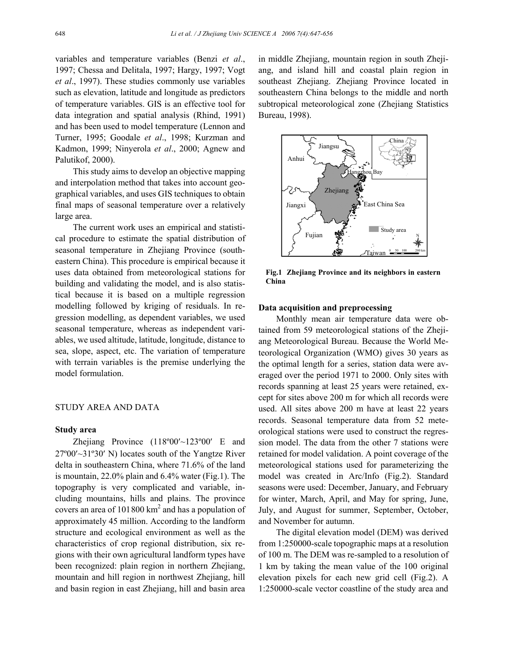variables and temperature variables (Benzi *et al*., 1997; Chessa and Delitala, 1997; Hargy, 1997; Vogt *et al*., 1997). These studies commonly use variables such as elevation, latitude and longitude as predictors of temperature variables. GIS is an effective tool for data integration and spatial analysis (Rhind, 1991) and has been used to model temperature (Lennon and Turner, 1995; Goodale *et al*., 1998; Kurzman and Kadmon, 1999; Ninyerola *et al*., 2000; Agnew and Palutikof, 2000).

This study aims to develop an objective mapping and interpolation method that takes into account geographical variables, and uses GIS techniques to obtain final maps of seasonal temperature over a relatively large area.

The current work uses an empirical and statistical procedure to estimate the spatial distribution of seasonal temperature in Zhejiang Province (southeastern China). This procedure is empirical because it uses data obtained from meteorological stations for building and validating the model, and is also statistical because it is based on a multiple regression modelling followed by kriging of residuals. In regression modelling, as dependent variables, we used seasonal temperature, whereas as independent variables, we used altitude, latitude, longitude, distance to sea, slope, aspect, etc. The variation of temperature with terrain variables is the premise underlying the model formulation.

# STUDY AREA AND DATA

#### **Study area**

Zhejiang Province (118º00′~123º00′ E and 27º00′~31º30′ N) locates south of the Yangtze River delta in southeastern China, where 71.6% of the land is mountain, 22.0% plain and 6.4% water (Fig.1). The topography is very complicated and variable, including mountains, hills and plains. The province covers an area of 101800  $\text{km}^2$  and has a population of approximately 45 million. According to the landform structure and ecological environment as well as the characteristics of crop regional distribution, six regions with their own agricultural landform types have been recognized: plain region in northern Zhejiang, mountain and hill region in northwest Zhejiang, hill and basin region in east Zhejiang, hill and basin area

in middle Zhejiang, mountain region in south Zhejiang, and island hill and coastal plain region in southeast Zhejiang. Zhejiang Province located in southeastern China belongs to the middle and north subtropical meteorological zone (Zhejiang Statistics Bureau, 1998).



**Fig.1 Zhejiang Province and its neighbors in eastern China**

### **Data acquisition and preprocessing**

Monthly mean air temperature data were obtained from 59 meteorological stations of the Zhejiang Meteorological Bureau. Because the World Meteorological Organization (WMO) gives 30 years as the optimal length for a series, station data were averaged over the period 1971 to 2000. Only sites with records spanning at least 25 years were retained, except for sites above 200 m for which all records were used. All sites above 200 m have at least 22 years records. Seasonal temperature data from 52 meteorological stations were used to construct the regression model. The data from the other 7 stations were retained for model validation. A point coverage of the meteorological stations used for parameterizing the model was created in Arc/Info (Fig.2). Standard seasons were used: December, January, and February for winter, March, April, and May for spring, June, July, and August for summer, September, October, and November for autumn.

The digital elevation model (DEM) was derived from 1:250000-scale topographic maps at a resolution of 100 m. The DEM was re-sampled to a resolution of 1 km by taking the mean value of the 100 original elevation pixels for each new grid cell (Fig.2). A 1:250000-scale vector coastline of the study area and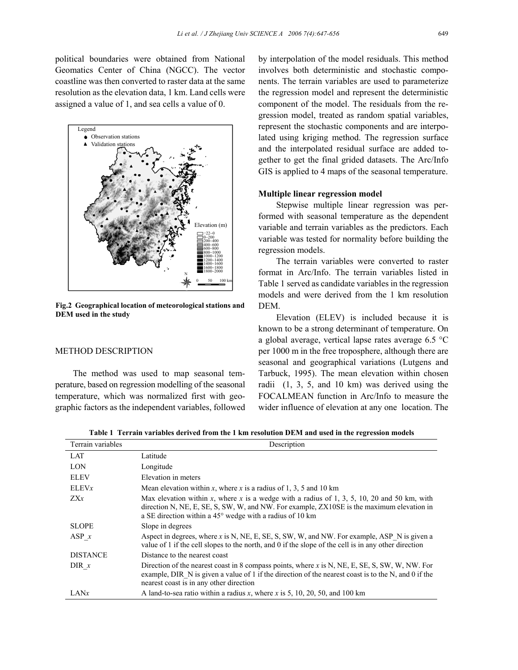political boundaries were obtained from National Geomatics Center of China (NGCC). The vector coastline was then converted to raster data at the same resolution as the elevation data, 1 km. Land cells were assigned a value of 1, and sea cells a value of 0.



**Fig.2 Geographical location of meteorological stations and DEM used in the study**

# METHOD DESCRIPTION

The method was used to map seasonal temperature, based on regression modelling of the seasonal temperature, which was normalized first with geographic factors as the independent variables, followed by interpolation of the model residuals. This method involves both deterministic and stochastic components. The terrain variables are used to parameterize the regression model and represent the deterministic component of the model. The residuals from the regression model, treated as random spatial variables, represent the stochastic components and are interpolated using kriging method. The regression surface and the interpolated residual surface are added together to get the final grided datasets. The Arc/Info GIS is applied to 4 maps of the seasonal temperature.

#### **Multiple linear regression model**

Stepwise multiple linear regression was performed with seasonal temperature as the dependent variable and terrain variables as the predictors. Each variable was tested for normality before building the regression models.

The terrain variables were converted to raster format in Arc/Info. The terrain variables listed in Table 1 served as candidate variables in the regression models and were derived from the 1 km resolution DEM.

Elevation (ELEV) is included because it is known to be a strong determinant of temperature. On a global average, vertical lapse rates average 6.5 °C per 1000 m in the free troposphere, although there are seasonal and geographical variations (Lutgens and Tarbuck, 1995). The mean elevation within chosen radii (1, 3, 5, and 10 km) was derived using the FOCALMEAN function in Arc/Info to measure the wider influence of elevation at any one location. The

**Table 1 Terrain variables derived from the 1 km resolution DEM and used in the regression models**

| Terrain variables | Description                                                                                                                                                                                                                                          |  |  |  |
|-------------------|------------------------------------------------------------------------------------------------------------------------------------------------------------------------------------------------------------------------------------------------------|--|--|--|
| LAT               | Latitude                                                                                                                                                                                                                                             |  |  |  |
| LON               | Longitude                                                                                                                                                                                                                                            |  |  |  |
| <b>ELEV</b>       | Elevation in meters                                                                                                                                                                                                                                  |  |  |  |
| ELEVx             | Mean elevation within x, where x is a radius of 1, 3, 5 and 10 km                                                                                                                                                                                    |  |  |  |
| ZXx               | Max elevation within x, where x is a wedge with a radius of 1, 3, 5, 10, 20 and 50 km, with<br>direction N, NE, E, SE, S, SW, W, and NW. For example, ZX10SE is the maximum elevation in<br>a SE direction within a 45° wedge with a radius of 10 km |  |  |  |
| <b>SLOPE</b>      | Slope in degrees                                                                                                                                                                                                                                     |  |  |  |
| $ASP \ x$         | Aspect in degrees, where x is N, NE, E, SE, S, SW, W, and NW. For example, ASP N is given a<br>value of 1 if the cell slopes to the north, and 0 if the slope of the cell is in any other direction                                                  |  |  |  |
| <b>DISTANCE</b>   | Distance to the nearest coast                                                                                                                                                                                                                        |  |  |  |
| DIR x             | Direction of the nearest coast in 8 compass points, where x is N, NE, E, SE, S, SW, W, NW. For<br>example, DIR N is given a value of 1 if the direction of the nearest coast is to the N, and 0 if the<br>nearest coast is in any other direction    |  |  |  |
| LANx              | A land-to-sea ratio within a radius x, where x is 5, 10, 20, 50, and 100 km                                                                                                                                                                          |  |  |  |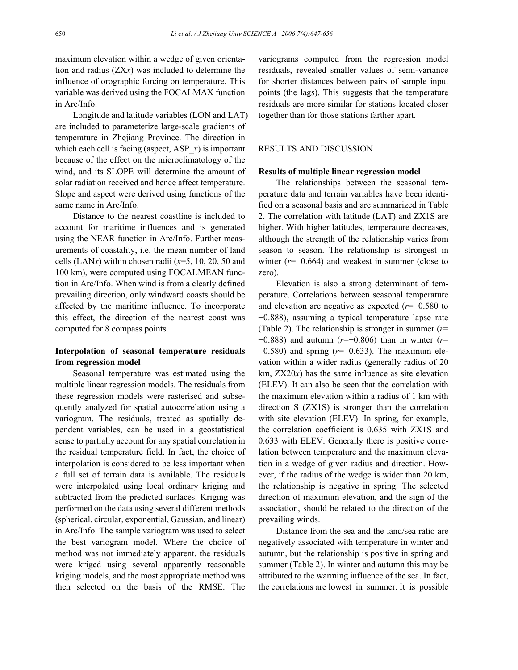maximum elevation within a wedge of given orientation and radius (ZX*x*) was included to determine the influence of orographic forcing on temperature. This variable was derived using the FOCALMAX function in Arc/Info.

Longitude and latitude variables (LON and LAT) are included to parameterize large-scale gradients of temperature in Zhejiang Province. The direction in which each cell is facing (aspect, ASP\_*x*) is important because of the effect on the microclimatology of the wind, and its SLOPE will determine the amount of solar radiation received and hence affect temperature. Slope and aspect were derived using functions of the same name in Arc/Info.

Distance to the nearest coastline is included to account for maritime influences and is generated using the NEAR function in Arc/Info. Further measurements of coastality, i.e. the mean number of land cells (LAN*x*) within chosen radii (*x*=5, 10, 20, 50 and 100 km), were computed using FOCALMEAN function in Arc/Info. When wind is from a clearly defined prevailing direction, only windward coasts should be affected by the maritime influence. To incorporate this effect, the direction of the nearest coast was computed for 8 compass points.

# **Interpolation of seasonal temperature residuals from regression model**

Seasonal temperature was estimated using the multiple linear regression models. The residuals from these regression models were rasterised and subsequently analyzed for spatial autocorrelation using a variogram. The residuals, treated as spatially dependent variables, can be used in a geostatistical sense to partially account for any spatial correlation in the residual temperature field. In fact, the choice of interpolation is considered to be less important when a full set of terrain data is available. The residuals were interpolated using local ordinary kriging and subtracted from the predicted surfaces. Kriging was performed on the data using several different methods (spherical, circular, exponential, Gaussian, and linear) in Arc/Info. The sample variogram was used to select the best variogram model. Where the choice of method was not immediately apparent, the residuals were kriged using several apparently reasonable kriging models, and the most appropriate method was then selected on the basis of the RMSE. The variograms computed from the regression model residuals, revealed smaller values of semi-variance for shorter distances between pairs of sample input points (the lags). This suggests that the temperature residuals are more similar for stations located closer together than for those stations farther apart.

## RESULTS AND DISCUSSION

## **Results of multiple linear regression model**

The relationships between the seasonal temperature data and terrain variables have been identified on a seasonal basis and are summarized in Table 2. The correlation with latitude (LAT) and ZX1S are higher. With higher latitudes, temperature decreases, although the strength of the relationship varies from season to season. The relationship is strongest in winter (*r*=−0.664) and weakest in summer (close to zero).

Elevation is also a strong determinant of temperature. Correlations between seasonal temperature and elevation are negative as expected (*r*=−0.580 to −0.888), assuming a typical temperature lapse rate (Table 2). The relationship is stronger in summer (*r*= −0.888) and autumn (*r*=−0.806) than in winter (*r*= −0.580) and spring (*r*=−0.633). The maximum elevation within a wider radius (generally radius of 20 km, ZX20*x*) has the same influence as site elevation (ELEV). It can also be seen that the correlation with the maximum elevation within a radius of 1 km with direction S (ZX1S) is stronger than the correlation with site elevation (ELEV). In spring, for example, the correlation coefficient is 0.635 with ZX1S and 0.633 with ELEV. Generally there is positive correlation between temperature and the maximum elevation in a wedge of given radius and direction. However, if the radius of the wedge is wider than 20 km, the relationship is negative in spring. The selected direction of maximum elevation, and the sign of the association, should be related to the direction of the prevailing winds.

Distance from the sea and the land/sea ratio are negatively associated with temperature in winter and autumn, but the relationship is positive in spring and summer (Table 2). In winter and autumn this may be attributed to the warming influence of the sea. In fact, the correlations are lowest in summer. It is possible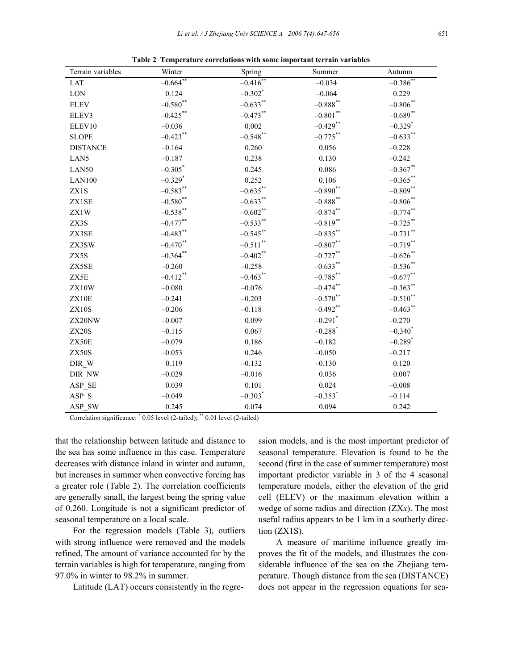| Terrain variables | Winter                | Spring                | Summer                 | Autumn                |
|-------------------|-----------------------|-----------------------|------------------------|-----------------------|
| <b>LAT</b>        | $-0.664**$            | $-0.416^{**}$         | $-0.034$               | $-0.386^{**}$         |
| LON               | 0.124                 | $-0.302$ <sup>*</sup> | $-0.064$               | 0.229                 |
| <b>ELEV</b>       | $-0.580$ **           | $-0.633***$           | $-0.888$ **            | $-0.806$ **           |
| ELEV3             | $-0.425$ **           | $-0.473**$            | $-0.801$ **            | $-0.689**$            |
| ELEV10            | $-0.036$              | 0.002                 | $-0.429$ **            | $-0.329$ <sup>*</sup> |
| <b>SLOPE</b>      | $-0.423$ **           | $-0.548$ **           | $-0.775***$            | $-0.633***$           |
| <b>DISTANCE</b>   | $-0.164$              | 0.260                 | 0.056                  | $-0.228$              |
| LAN5              | $-0.187$              | 0.238                 | 0.130                  | $-0.242$              |
| LAN50             | $-0.305$ *            | 0.245                 | 0.086                  | $-0.367**$            |
| <b>LAN100</b>     | $-0.329$ <sup>*</sup> | 0.252                 | 0.106                  | $-0.365***$           |
| ZX1S              | $-0.583$ **           | $-0.635***$           | $-0.890**$             | $-0.809**$            |
| ZX1SE             | $-0.580$ **           | $-0.633***$           | $-0.888$ <sup>**</sup> | $-0.806$ **           |
| ZX1W              | $-0.538$ **           | $-0.602$ **           | $-0.874***$            | $-0.774$ **           |
| ZX3S              | $-0.477$ **           | $-0.533**$            | $-0.819***$            | $-0.725***$           |
| ZX3SE             | $-0.483***$           | $-0.545***$           | $-0.835***$            | $-0.731$ **           |
| ZX3SW             | $-0.470$ **           | $-0.511$ **           | $-0.807**$             | $-0.719**$            |
| ZX5S              | $-0.364$ **           | $-0.402$ **           | $-0.727**$             | $-0.626$ **           |
| ZX5SE             | $-0.260$              | $-0.258$              | $-0.633**$             | $-0.536$ **           |
| ZX5E              | $-0.412$ **           | $-0.463$ **           | $-0.785***$            | $-0.677***$           |
| ZX10W             | $-0.080$              | $-0.076$              | $-0.474$ **            | $-0.363**$            |
| ZX10E             | $-0.241$              | $-0.203$              | $-0.570**$             | $-0.510**$            |
| <b>ZX10S</b>      | $-0.206$              | $-0.118$              | $-0.492$ **            | $-0.463$ **           |
| ZX20NW            | $-0.007$              | 0.099                 | $-0.291$ <sup>*</sup>  | $-0.270$              |
| <b>ZX20S</b>      | $-0.115$              | 0.067                 | $-0.288$ <sup>*</sup>  | $-0.340*$             |
| ZX50E             | $-0.079$              | 0.186                 | $-0.182$               | $-0.289$ <sup>*</sup> |
| <b>ZX50S</b>      | $-0.053$              | 0.246                 | $-0.050$               | $-0.217$              |
| DIR W             | 0.119                 | $-0.132$              | $-0.130$               | 0.120                 |
| DIR NW            | $-0.029$              | $-0.016$              | 0.036                  | 0.007                 |
| ASP SE            | 0.039                 | 0.101                 | 0.024                  | $-0.008$              |
| ASP S             | $-0.049$              | $-0.303*$             | $-0.353$ <sup>*</sup>  | $-0.114$              |
| ASP SW            | 0.245                 | 0.074                 | 0.094                  | 0.242                 |

**Table 2 Temperature correlations with some important terrain variables** 

Correlation significance: \* 0.05 level (2-tailed); \*\* 0.01 level (2-tailed)

that the relationship between latitude and distance to the sea has some influence in this case. Temperature decreases with distance inland in winter and autumn, but increases in summer when convective forcing has a greater role (Table 2). The correlation coefficients are generally small, the largest being the spring value of 0.260. Longitude is not a significant predictor of seasonal temperature on a local scale.

For the regression models (Table 3), outliers with strong influence were removed and the models refined. The amount of variance accounted for by the terrain variables is high for temperature, ranging from 97.0% in winter to 98.2% in summer.

Latitude (LAT) occurs consistently in the regre-

ssion models, and is the most important predictor of seasonal temperature. Elevation is found to be the second (first in the case of summer temperature) most important predictor variable in 3 of the 4 seasonal temperature models, either the elevation of the grid cell (ELEV) or the maximum elevation within a wedge of some radius and direction (ZX*x*). The most useful radius appears to be 1 km in a southerly direction (ZX1S).

A measure of maritime influence greatly improves the fit of the models, and illustrates the considerable influence of the sea on the Zhejiang temperature. Though distance from the sea (DISTANCE) does not appear in the regression equations for sea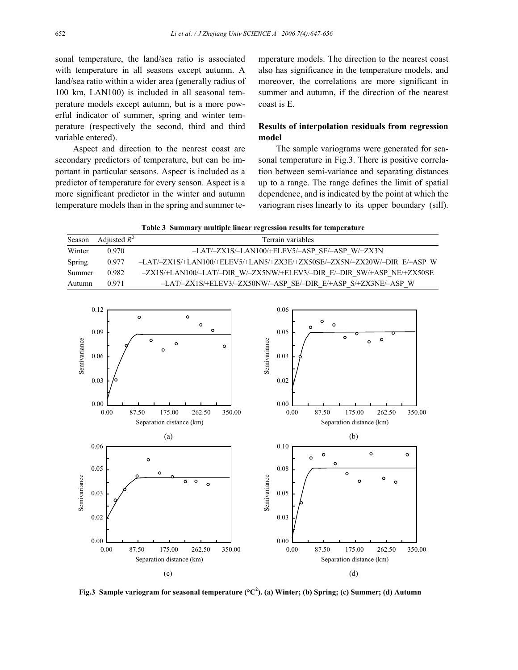sonal temperature, the land/sea ratio is associated with temperature in all seasons except autumn. A land/sea ratio within a wider area (generally radius of 100 km, LAN100) is included in all seasonal temperature models except autumn, but is a more powerful indicator of summer, spring and winter temperature (respectively the second, third and third variable entered).

Aspect and direction to the nearest coast are secondary predictors of temperature, but can be important in particular seasons. Aspect is included as a predictor of temperature for every season. Aspect is a more significant predictor in the winter and autumn temperature models than in the spring and summer temperature models. The direction to the nearest coast also has significance in the temperature models, and moreover, the correlations are more significant in summer and autumn, if the direction of the nearest coast is E.

# **Results of interpolation residuals from regression model**

The sample variograms were generated for seasonal temperature in Fig.3. There is positive correlation between semi-variance and separating distances up to a range. The range defines the limit of spatial dependence, and is indicated by the point at which the variogram rises linearly to its upper boundary (sill).

|  | Table 3 Summary multiple linear regression results for temperature |  |  |
|--|--------------------------------------------------------------------|--|--|
|  |                                                                    |  |  |

| Season | Adjusted $R^2$ | Terrain variables                                                        |
|--------|----------------|--------------------------------------------------------------------------|
| Winter | 0.970          | -LAT/-ZX1S/-LAN100/+ELEV5/-ASP SE/-ASP W/+ZX3N                           |
| Spring | 0.977          | -LAT/-ZX1S/+LAN100/+ELEV5/+LAN5/+ZX3E/+ZX50SE/-ZX5N/-ZX20W/-DIR E/-ASP W |
| Summer | 0.982          | $-ZX1S/+LAN100/-LAT/–DIR W/-ZX5NW/+ELEV3/-DIR E/-DIR SW/+ASP NE/+ZX50SE$ |
| Autumn | 0.971          | -LAT/-ZX1S/+ELEV3/-ZX50NW/-ASP SE/-DIR E/+ASP S/+ZX3NE/-ASP W            |



**Fig.3 Sample variogram for seasonal temperature (°C2 ). (a) Winter; (b) Spring; (c) Summer; (d) Autumn**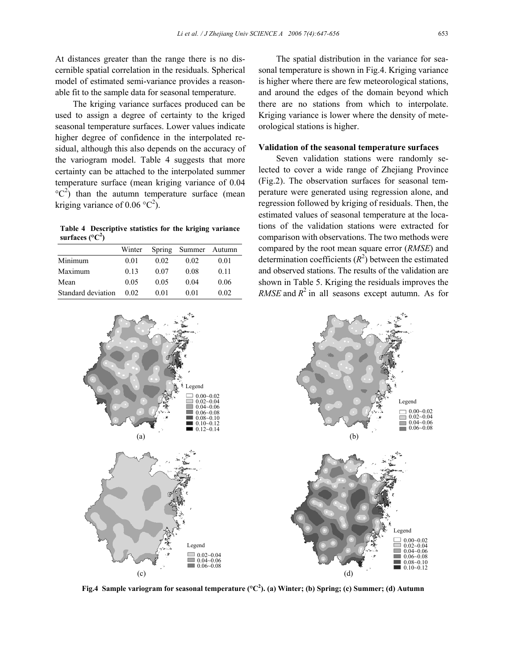At distances greater than the range there is no discernible spatial correlation in the residuals. Spherical model of estimated semi-variance provides a reasonable fit to the sample data for seasonal temperature.

The kriging variance surfaces produced can be used to assign a degree of certainty to the kriged seasonal temperature surfaces. Lower values indicate higher degree of confidence in the interpolated residual, although this also depends on the accuracy of the variogram model. Table 4 suggests that more certainty can be attached to the interpolated summer temperature surface (mean kriging variance of 0.04  $\mathrm{e}^{\circ}C^2$ ) than the autumn temperature surface (mean kriging variance of 0.06  $^{\circ}C^2$ ).

**Table 4 Descriptive statistics for the kriging variance surfaces (°C2 )**

|                    | Winter | Spring | Summer Autumn |      |
|--------------------|--------|--------|---------------|------|
| Minimum            | 0.01   | 0.02   | 0.02          | 0.01 |
| Maximum            | 0.13   | 0.07   | 0.08          | 0.11 |
| Mean               | 0.05   | 0.05   | 0.04          | 0.06 |
| Standard deviation | 0.02   | 0.01   | 0.01          | 0.02 |

The spatial distribution in the variance for seasonal temperature is shown in Fig.4. Kriging variance is higher where there are few meteorological stations, and around the edges of the domain beyond which there are no stations from which to interpolate. Kriging variance is lower where the density of meteorological stations is higher.

### **Validation of the seasonal temperature surfaces**

Seven validation stations were randomly selected to cover a wide range of Zhejiang Province (Fig.2). The observation surfaces for seasonal temperature were generated using regression alone, and regression followed by kriging of residuals. Then, the estimated values of seasonal temperature at the locations of the validation stations were extracted for comparison with observations. The two methods were compared by the root mean square error (*RMSE*) and determination coefficients  $(R^2)$  between the estimated and observed stations. The results of the validation are shown in Table 5. Kriging the residuals improves the *RMSE* and  $R^2$  in all seasons except autumn. As for



**Fig.4 Sample variogram for seasonal temperature (°C2 ). (a) Winter; (b) Spring; (c) Summer; (d) Autumn**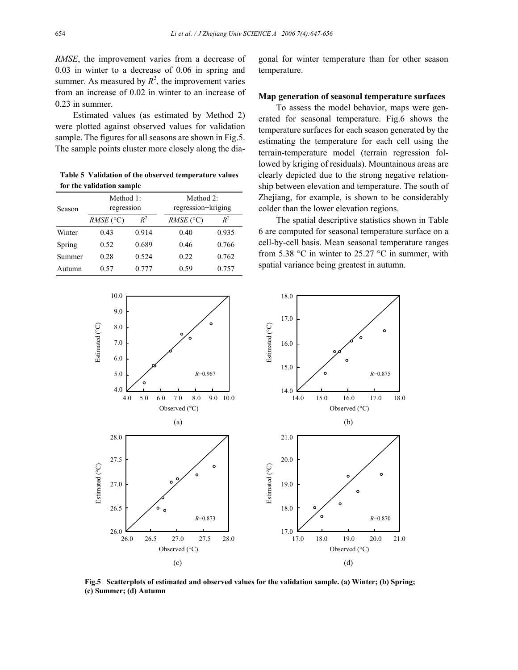*RMSE*, the improvement varies from a decrease of 0.03 in winter to a decrease of 0.06 in spring and summer. As measured by  $R^2$ , the improvement varies from an increase of 0.02 in winter to an increase of 0.23 in summer.

Estimated values (as estimated by Method 2) were plotted against observed values for validation sample. The figures for all seasons are shown in Fig.5. The sample points cluster more closely along the dia-

**Table 5 Validation of the observed temperature values for the validation sample**

| Season | Method 1:<br>regression |       | Method 2:<br>regression+kriging |       |
|--------|-------------------------|-------|---------------------------------|-------|
|        | $RMSE$ (°C)             | $R^2$ | $RMSE$ (°C)                     | $R^2$ |
| Winter | 0.43                    | 0.914 | 0.40                            | 0.935 |
| Spring | 0.52                    | 0.689 | 0.46                            | 0.766 |
| Summer | 0.28                    | 0.524 | 0.22                            | 0.762 |
| Autumn | 0.57                    | 0.777 | 0.59                            | 0.757 |

gonal for winter temperature than for other season temperature.

# **Map generation of seasonal temperature surfaces**

To assess the model behavior, maps were generated for seasonal temperature. Fig.6 shows the temperature surfaces for each season generated by the estimating the temperature for each cell using the terrain-temperature model (terrain regression followed by kriging of residuals). Mountainous areas are clearly depicted due to the strong negative relationship between elevation and temperature. The south of Zhejiang, for example, is shown to be considerably colder than the lower elevation regions.

The spatial descriptive statistics shown in Table 6 are computed for seasonal temperature surface on a cell-by-cell basis. Mean seasonal temperature ranges from 5.38  $\degree$ C in winter to 25.27  $\degree$ C in summer, with spatial variance being greatest in autumn.



**Fig.5 Scatterplots of estimated and observed values for the validation sample. (a) Winter; (b) Spring; (c) Summer; (d) Autumn**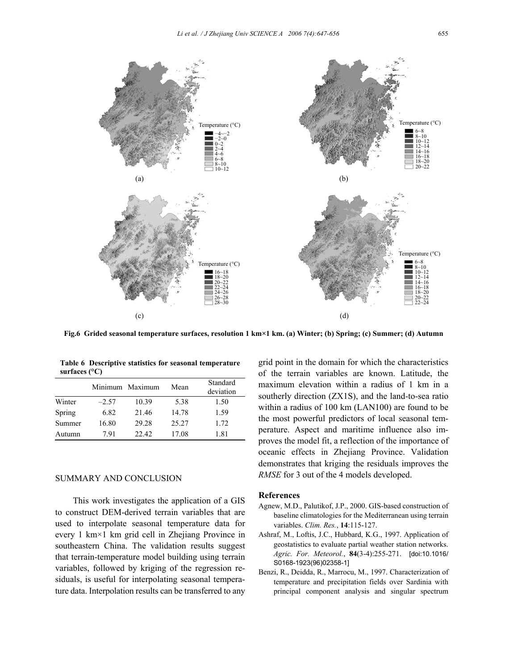

**Fig.6 Grided seasonal temperature surfaces, resolution 1 km×1 km. (a) Winter; (b) Spring; (c) Summer; (d) Autumn**

| $\frac{1}{2}$ |         |                 |       |                       |  |  |
|---------------|---------|-----------------|-------|-----------------------|--|--|
|               |         | Minimum Maximum | Mean  | Standard<br>deviation |  |  |
| Winter        | $-2.57$ | 10.39           | 5.38  | 1.50                  |  |  |
| Spring        | 6.82    | 21.46           | 14.78 | 1.59                  |  |  |
| Summer        | 16.80   | 29.28           | 25.27 | 1.72                  |  |  |
| Autumn        | 791     | 22.42           | 17.08 | 1.81                  |  |  |

**Table 6 Descriptive statistics for seasonal temperature surfaces (°C)** 

## SUMMARY AND CONCLUSION

This work investigates the application of a GIS to construct DEM-derived terrain variables that are used to interpolate seasonal temperature data for every 1 km×1 km grid cell in Zhejiang Province in southeastern China. The validation results suggest that terrain-temperature model building using terrain variables, followed by kriging of the regression residuals, is useful for interpolating seasonal temperature data. Interpolation results can be transferred to any grid point in the domain for which the characteristics of the terrain variables are known. Latitude, the maximum elevation within a radius of 1 km in a southerly direction (ZX1S), and the land-to-sea ratio within a radius of 100 km (LAN100) are found to be the most powerful predictors of local seasonal temperature. Aspect and maritime influence also improves the model fit, a reflection of the importance of oceanic effects in Zhejiang Province. Validation demonstrates that kriging the residuals improves the *RMSE* for 3 out of the 4 models developed.

### **References**

- Agnew, M.D., Palutikof, J.P., 2000. GIS-based construction of baseline climatologies for the Mediterranean using terrain variables. *Clim. Res.*, **14**:115-127.
- Ashraf, M., Loftis, J.C., Hubbard, K.G., 1997. Application of geostatistics to evaluate partial weather station networks. *Agric. For. Meteorol.*, **84**(3-4):255-271. [doi:10.1016/ S0168-1923(96)02358-1]
- Benzi, R., Deidda, R., Marrocu, M., 1997. Characterization of temperature and precipitation fields over Sardinia with principal component analysis and singular spectrum